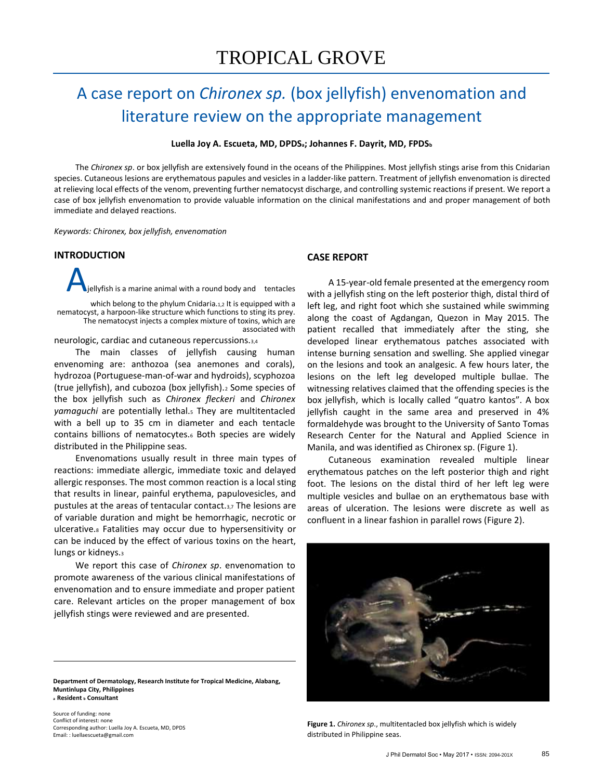# A case report on *Chironex sp.* (box jellyfish) envenomation and literature review on the appropriate management

**Luella Joy A. Escueta, MD, DPDSa; Johannes F. Dayrit, MD, FPDS<sup>b</sup>**

The *Chironex sp*. or box jellyfish are extensively found in the oceans of the Philippines. Most jellyfish stings arise from this Cnidarian species. Cutaneous lesions are erythematous papules and vesicles in a ladder-like pattern. Treatment of jellyfish envenomation is directed at relieving local effects of the venom, preventing further nematocyst discharge, and controlling systemic reactions if present. We report a case of box jellyfish envenomation to provide valuable information on the clinical manifestations and and proper management of both immediate and delayed reactions.

*Keywords: Chironex, box jellyfish, envenomation*

# **INTRODUCTION**

jellyfish is a marine animal with a round body and tentacles

which belong to the phylum Cnidaria.1,2 It is equipped with a nematocyst, a harpoon-like structure which functions to sting its prey. The nematocyst injects a complex mixture of toxins, which are associated with

neurologic, cardiac and cutaneous repercussions.3,4

The main classes of jellyfish causing human envenoming are: anthozoa (sea anemones and corals), hydrozoa (Portuguese-man-of-war and hydroids), scyphozoa (true jellyfish), and cubozoa (box jellyfish).<sup>2</sup> Some species of the box jellyfish such as *Chironex fleckeri* and *Chironex yamaguchi* are potentially lethal.<sup>5</sup> They are multitentacled with a bell up to 35 cm in diameter and each tentacle contains billions of nematocytes.<sup>6</sup> Both species are widely distributed in the Philippine seas.

Envenomations usually result in three main types of reactions: immediate allergic, immediate toxic and delayed allergic responses. The most common reaction is a local sting that results in linear, painful erythema, papulovesicles, and pustules at the areas of tentacular contact.3,7 The lesions are of variable duration and might be hemorrhagic, necrotic or ulcerative.<sup>8</sup> Fatalities may occur due to hypersensitivity or can be induced by the effect of various toxins on the heart, lungs or kidneys.<sup>3</sup>

We report this case of *Chironex sp*. envenomation to promote awareness of the various clinical manifestations of envenomation and to ensure immediate and proper patient care. Relevant articles on the proper management of box jellyfish stings were reviewed and are presented.

**Department of Dermatology, Research Institute for Tropical Medicine, Alabang, Muntinlupa City, Philippines <sup>a</sup> Resident <sup>b</sup> Consultant**

Source of funding: none Conflict of interest: none Corresponding author: Luella Joy A. Escueta, MD, DPDS Email: : luellaescueta@gmail.com

### **CASE REPORT**

A 15-year-old female presented at the emergency room with a jellyfish sting on the left posterior thigh, distal third of left leg, and right foot which she sustained while swimming along the coast of Agdangan, Quezon in May 2015. The patient recalled that immediately after the sting, she developed linear erythematous patches associated with intense burning sensation and swelling. She applied vinegar on the lesions and took an analgesic. A few hours later, the lesions on the left leg developed multiple bullae. The witnessing relatives claimed that the offending species is the box jellyfish, which is locally called "quatro kantos". A box jellyfish caught in the same area and preserved in 4% formaldehyde was brought to the University of Santo Tomas Research Center for the Natural and Applied Science in Manila, and was identified as Chironex sp. (Figure 1).

Cutaneous examination revealed multiple linear erythematous patches on the left posterior thigh and right foot. The lesions on the distal third of her left leg were multiple vesicles and bullae on an erythematous base with areas of ulceration. The lesions were discrete as well as confluent in a linear fashion in parallel rows (Figure 2).



**Figure 1.** *Chironex sp*., multitentacled box jellyfish which is widely distributed in Philippine seas.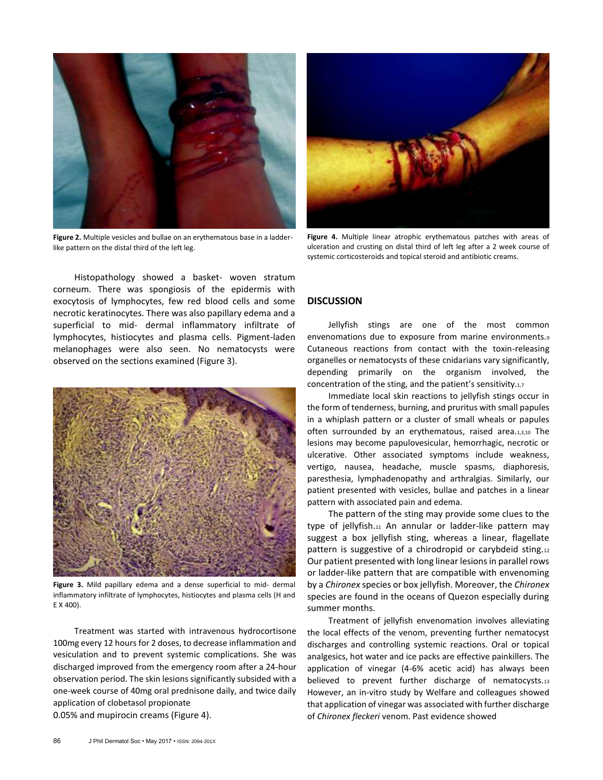

**Figure 2.** Multiple vesicles and bullae on an erythematous base in a ladderlike pattern on the distal third of the left leg.



**Figure 4.** Multiple linear atrophic erythematous patches with areas of ulceration and crusting on distal third of left leg after a 2 week course of systemic corticosteroids and topical steroid and antibiotic creams.

Histopathology showed a basket- woven stratum corneum. There was spongiosis of the epidermis with exocytosis of lymphocytes, few red blood cells and some necrotic keratinocytes. There was also papillary edema and a superficial to mid- dermal inflammatory infiltrate of lymphocytes, histiocytes and plasma cells. Pigment-laden melanophages were also seen. No nematocysts were observed on the sections examined (Figure 3).



**Figure 3.** Mild papillary edema and a dense superficial to mid- dermal inflammatory infiltrate of lymphocytes, histiocytes and plasma cells (H and E X 400).

Treatment was started with intravenous hydrocortisone 100mg every 12 hours for 2 doses, to decrease inflammation and vesiculation and to prevent systemic complications. She was discharged improved from the emergency room after a 24-hour observation period. The skin lesions significantly subsided with a one-week course of 40mg oral prednisone daily, and twice daily application of clobetasol propionate 0.05% and mupirocin creams (Figure 4).

## **DISCUSSION**

Jellyfish stings are one of the most common envenomations due to exposure from marine environments.<sup>9</sup> Cutaneous reactions from contact with the toxin-releasing organelles or nematocysts of these cnidarians vary significantly, depending primarily on the organism involved, the concentration of the sting, and the patient's sensitivity.1,7

Immediate local skin reactions to jellyfish stings occur in the form of tenderness, burning, and pruritus with small papules in a whiplash pattern or a cluster of small wheals or papules often surrounded by an erythematous, raised area.1,3,10 The lesions may become papulovesicular, hemorrhagic, necrotic or ulcerative. Other associated symptoms include weakness, vertigo, nausea, headache, muscle spasms, diaphoresis, paresthesia, lymphadenopathy and arthralgias. Similarly, our patient presented with vesicles, bullae and patches in a linear pattern with associated pain and edema.

The pattern of the sting may provide some clues to the type of jellyfish.11 An annular or ladder-like pattern may suggest a box jellyfish sting, whereas a linear, flagellate pattern is suggestive of a chirodropid or carybdeid sting.<sup>12</sup> Our patient presented with long linear lesions in parallel rows or ladder-like pattern that are compatible with envenoming by a *Chironex* species or box jellyfish. Moreover, the *Chironex* species are found in the oceans of Quezon especially during summer months.

Treatment of jellyfish envenomation involves alleviating the local effects of the venom, preventing further nematocyst discharges and controlling systemic reactions. Oral or topical analgesics, hot water and ice packs are effective painkillers. The application of vinegar (4-6% acetic acid) has always been believed to prevent further discharge of nematocysts.<sup>13</sup> However, an in-vitro study by Welfare and colleagues showed that application of vinegar was associated with further discharge of *Chironex fleckeri* venom. Past evidence showed